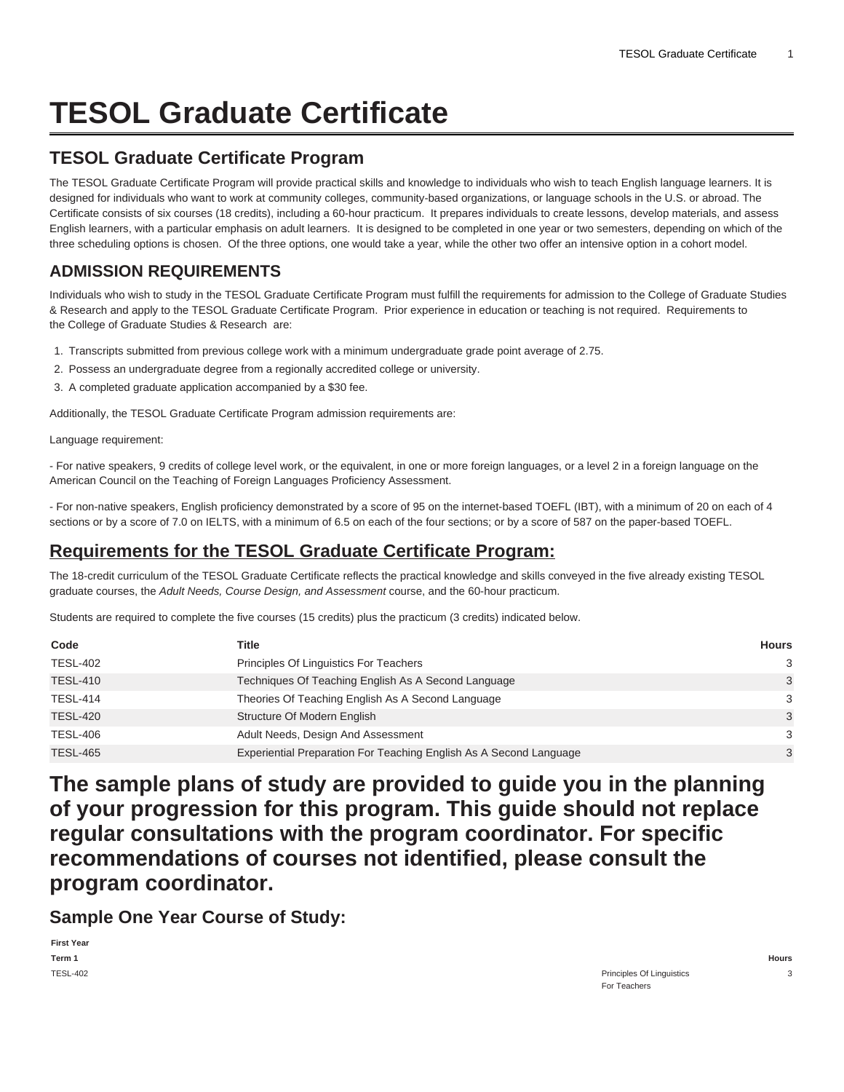# **TESOL Graduate Certificate**

#### **TESOL Graduate Certificate Program**

The TESOL Graduate Certificate Program will provide practical skills and knowledge to individuals who wish to teach English language learners. It is designed for individuals who want to work at community colleges, community-based organizations, or language schools in the U.S. or abroad. The Certificate consists of six courses (18 credits), including a 60-hour practicum. It prepares individuals to create lessons, develop materials, and assess English learners, with a particular emphasis on adult learners. It is designed to be completed in one year or two semesters, depending on which of the three scheduling options is chosen. Of the three options, one would take a year, while the other two offer an intensive option in a cohort model.

#### **ADMISSION REQUIREMENTS**

Individuals who wish to study in the TESOL Graduate Certificate Program must fulfill the requirements for admission to the College of Graduate Studies & Research and apply to the TESOL Graduate Certificate Program. Prior experience in education or teaching is not required. Requirements to the College of Graduate Studies & Research are:

- 1. Transcripts submitted from previous college work with a minimum undergraduate grade point average of 2.75.
- 2. Possess an undergraduate degree from a regionally accredited college or university.
- 3. A completed graduate application accompanied by a \$30 fee.

Additionally, the TESOL Graduate Certificate Program admission requirements are:

Language requirement:

- For native speakers, 9 credits of college level work, or the equivalent, in one or more foreign languages, or a level 2 in a foreign language on the American Council on the Teaching of Foreign Languages Proficiency Assessment.

- For non-native speakers, English proficiency demonstrated by a score of 95 on the internet-based TOEFL (IBT), with a minimum of 20 on each of 4 sections or by a score of 7.0 on IELTS, with a minimum of 6.5 on each of the four sections; or by a score of 587 on the paper-based TOEFL.

### **Requirements for the TESOL Graduate Certificate Program:**

The 18-credit curriculum of the TESOL Graduate Certificate reflects the practical knowledge and skills conveyed in the five already existing TESOL graduate courses, the Adult Needs, Course Design, and Assessment course, and the 60-hour practicum.

Students are required to complete the five courses (15 credits) plus the practicum (3 credits) indicated below.

| Code            | Title                                                              | Hours         |
|-----------------|--------------------------------------------------------------------|---------------|
| <b>TESL-402</b> | Principles Of Linguistics For Teachers                             | 3             |
| <b>TESL-410</b> | Techniques Of Teaching English As A Second Language                | $\mathcal{E}$ |
| <b>TESL-414</b> | Theories Of Teaching English As A Second Language                  | $\mathcal{B}$ |
| <b>TESL-420</b> | Structure Of Modern English                                        | $\mathcal{E}$ |
| <b>TESL-406</b> | Adult Needs, Design And Assessment                                 | 3             |
| <b>TESL-465</b> | Experiential Preparation For Teaching English As A Second Language | 3             |

**The sample plans of study are provided to guide you in the planning of your progression for this program. This guide should not replace regular consultations with the program coordinator. For specific recommendations of courses not identified, please consult the program coordinator.**

**Sample One Year Course of Study:**

| <b>First Year</b> |                           |       |
|-------------------|---------------------------|-------|
| Term 1            |                           | Hours |
| <b>TESL-402</b>   | Principles Of Linguistics |       |